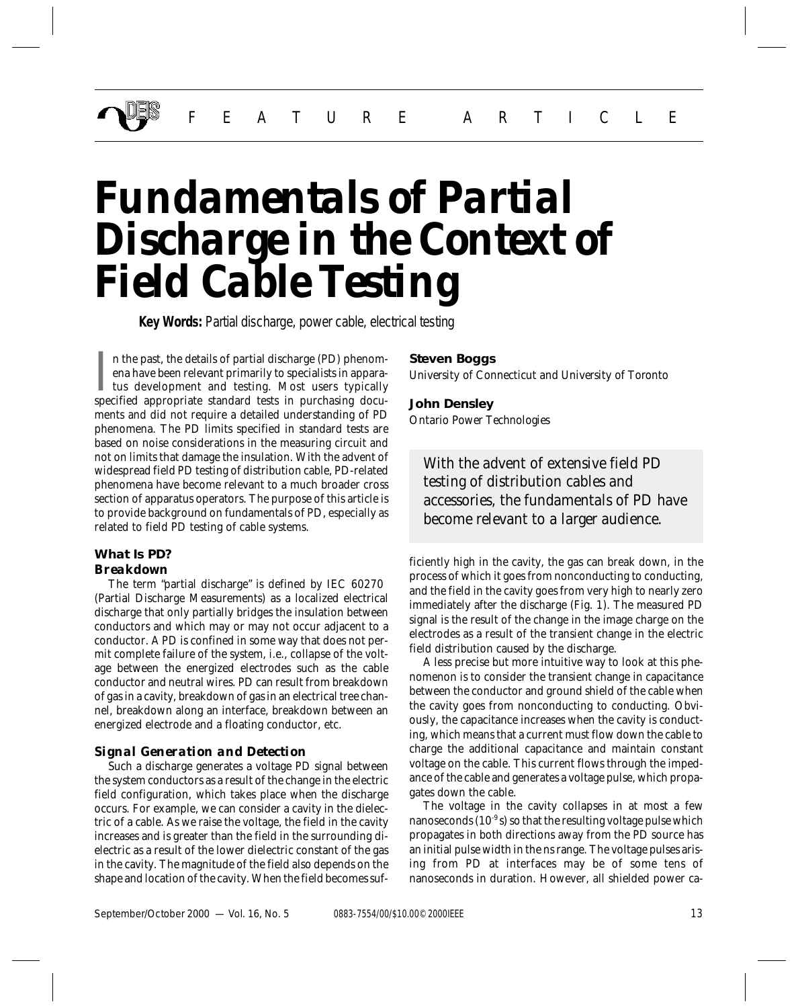# *Fundamentals of Partial Discharge in the Context of Field Cable Testing*

**Key Words:** Partial discharge, power cable, electrical testing

In the past, the details of partial discharge (PD) phenomena have been relevant primarily to specialists in apparatus development and testing. Most users typically specified appropriate standard tests in purchasing docun the past, the details of partial discharge (PD) phenomena have been relevant primarily to specialists in apparatus development and testing. Most users typically ments and did not require a detailed understanding of PD phenomena. The PD limits specified in standard tests are based on noise considerations in the measuring circuit and not on limits that damage the insulation. With the advent of widespread field PD testing of distribution cable, PD-related phenomena have become relevant to a much broader cross section of apparatus operators. The purpose of this article is to provide background on fundamentals of PD, especially as related to field PD testing of cable systems.

# **What Is PD?** *Breakdown*

The term "partial discharge" is defined by IEC 60270 (Partial Discharge Measurements) as a localized electrical discharge that only partially bridges the insulation between conductors and which may or may not occur adjacent to a conductor. A PD is confined in some way that does not permit complete failure of the system, i.e., collapse of the voltage between the energized electrodes such as the cable conductor and neutral wires. PD can result from breakdown of gas in a cavity, breakdown of gas in an electrical tree channel, breakdown along an interface, breakdown between an energized electrode and a floating conductor, etc.

# *Signal Generation and Detection*

Such a discharge generates a voltage PD signal between the system conductors as a result of the change in the electric field configuration, which takes place when the discharge occurs. For example, we can consider a cavity in the dielectric of a cable. As we raise the voltage, the field in the cavity increases and is greater than the field in the surrounding dielectric as a result of the lower dielectric constant of the gas in the cavity. The magnitude of the field also depends on the shape and location of the cavity. When the field becomes suf-

# **Steven Boggs**

*University of Connecticut and University of Toronto*

# **John Densley**

*Ontario Power Technologies*

*With the advent of extensive field PD testing of distribution cables and accessories, the fundamentals of PD have become relevant to a larger audience.*

ficiently high in the cavity, the gas can break down, in the process of which it goes from nonconducting to conducting, and the field in the cavity goes from very high to nearly zero immediately after the discharge (Fig. 1). The measured PD signal is the result of the change in the image charge on the electrodes as a result of the transient change in the electric field distribution caused by the discharge.

A less precise but more intuitive way to look at this phenomenon is to consider the transient change in capacitance between the conductor and ground shield of the cable when the cavity goes from nonconducting to conducting. Obviously, the capacitance increases when the cavity is conducting, which means that a current must flow down the cable to charge the additional capacitance and maintain constant voltage on the cable. This current flows through the impedance of the cable and generates a voltage pulse, which propagates down the cable.

The voltage in the cavity collapses in at most a few nanoseconds ( $10^{-9}$ s) so that the resulting voltage pulse which propagates in both directions away from the PD source has an initial pulse width in the ns range. The voltage pulses arising from PD at interfaces may be of some tens of nanoseconds in duration. However, all shielded power ca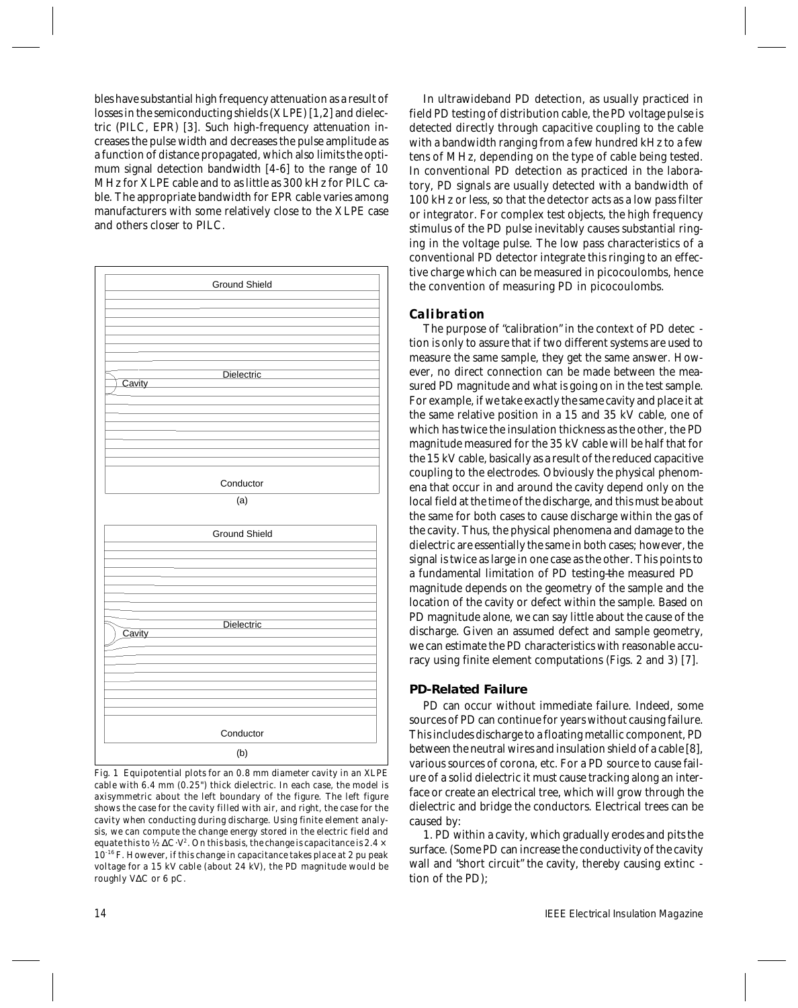bles have substantial high frequency attenuation as a result of losses in the semiconducting shields (XLPE) [1,2] and dielectric (PILC, EPR) [3]. Such high-frequency attenuation increases the pulse width and decreases the pulse amplitude as a function of distance propagated, which also limits the optimum signal detection bandwidth [4-6] to the range of 10 MHz for XLPE cable and to as little as 300 kHz for PILC cable. The appropriate bandwidth for EPR cable varies among manufacturers with some relatively close to the XLPE case and others closer to PILC.



*Fig. 1 Equipotential plots for an 0.8 mm diameter cavity in an XLPE cable with 6.4 mm (0.25") thick dielectric. In each case, the model is axisymmetric about the left boundary of the figure. The left figure shows the case for the cavity filled with air, and right, the case for the cavity when conducting during discharge. Using finite element analysis, we can compute the change energy stored in the electric field and equate this to ½* ∆*C*⋅*V2 . On this basis, the change is capacitance is 2.4 × 10-16 F. However, if this change in capacitance takes place at 2 pu peak voltage for a 15 kV cable (about 24 kV), the PD magnitude would be roughly V*∆*C or 6 pC.*

In ultrawideband PD detection, as usually practiced in field PD testing of distribution cable, the PD voltage pulse is detected directly through capacitive coupling to the cable with a bandwidth ranging from a few hundred kHz to a few tens of MHz, depending on the type of cable being tested. In conventional PD detection as practiced in the laboratory, PD signals are usually detected with a bandwidth of 100 kHz or less, so that the detector acts as a low pass filter or integrator. For complex test objects, the high frequency stimulus of the PD pulse inevitably causes substantial ringing in the voltage pulse. The low pass characteristics of a conventional PD detector integrate this ringing to an effective charge which can be measured in picocoulombs, hence the convention of measuring PD in picocoulombs.

# *Calibration*

The purpose of "calibration" in the context of PD detec tion is only to assure that if two different systems are used to measure the same sample, they get the same answer. However, no direct connection can be made between the measured PD magnitude and what is going on in the test sample. For example, if we take exactly the same cavity and place it at the same relative position in a 15 and 35 kV cable, one of which has twice the insulation thickness as the other, the PD magnitude measured for the 35 kV cable will be half that for the 15 kV cable, basically as a result of the reduced capacitive coupling to the electrodes. Obviously the physical phenomena that occur in and around the cavity depend only on the local field at the time of the discharge, and this must be about the same for both cases to cause discharge within the gas of the cavity. Thus, the physical phenomena and damage to the dielectric are essentially the same in both cases; however, the signal is twice as large in one case as the other. This points to a fundamental limitation of PD testing—the measured PD magnitude depends on the geometry of the sample and the location of the cavity or defect within the sample. Based on PD magnitude alone, we can say little about the cause of the discharge. Given an assumed defect and sample geometry, we can estimate the PD characteristics with reasonable accuracy using finite element computations (Figs. 2 and 3) [7].

# **PD-Related Failure**

PD can occur without immediate failure. Indeed, some sources of PD can continue for years without causing failure. This includes discharge to a floating metallic component, PD between the neutral wires and insulation shield of a cable [8], various sources of corona, etc. For a PD source to cause failure of a solid dielectric it must cause tracking along an interface or create an electrical tree, which will grow through the dielectric and bridge the conductors. Electrical trees can be caused by:

1. PD within a cavity, which gradually erodes and pits the surface. (Some PD can increase the conductivity of the cavity wall and "short circuit" the cavity, thereby causing extinc tion of the PD);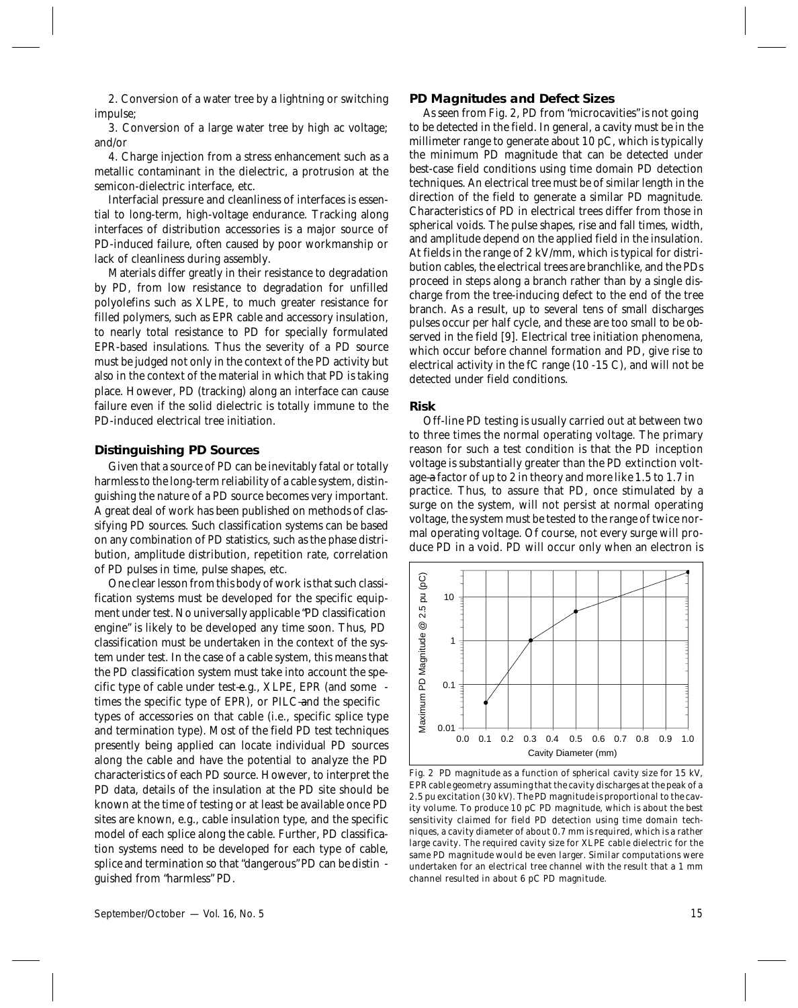2. Conversion of a water tree by a lightning or switching impulse;

3. Conversion of a large water tree by high ac voltage; and/or

4. Charge injection from a stress enhancement such as a metallic contaminant in the dielectric, a protrusion at the semicon-dielectric interface, etc.

Interfacial pressure and cleanliness of interfaces is essential to long-term, high-voltage endurance. Tracking along interfaces of distribution accessories is a major source of PD-induced failure, often caused by poor workmanship or lack of cleanliness during assembly.

Materials differ greatly in their resistance to degradation by PD, from low resistance to degradation for unfilled polyolefins such as XLPE, to much greater resistance for filled polymers, such as EPR cable and accessory insulation, to nearly total resistance to PD for specially formulated EPR-based insulations. Thus the severity of a PD source must be judged not only in the context of the PD activity but also in the context of the material in which that PD is taking place. However, PD (tracking) along an interface can cause failure even if the solid dielectric is totally immune to the PD-induced electrical tree initiation.

# **Distinguishing PD Sources**

Given that a source of PD can be inevitably fatal or totally harmless to the long-term reliability of a cable system, distinguishing the nature of a PD source becomes very important. A great deal of work has been published on methods of classifying PD sources. Such classification systems can be based on any combination of PD statistics, such as the phase distribution, amplitude distribution, repetition rate, correlation of PD pulses in time, pulse shapes, etc.

One clear lesson from this body of work is that such classification systems must be developed for the specific equipment under test. No universally applicable "PD classification engine" is likely to be developed any time soon. Thus, PD classification must be undertaken in the context of the system under test. In the case of a cable system, this means that the PD classification system must take into account the specific type of cable under test-e.g., XLPE, EPR (and some times the specific type of EPR), or PILC—and the specific types of accessories on that cable (i.e., specific splice type and termination type). Most of the field PD test techniques presently being applied can locate individual PD sources along the cable and have the potential to analyze the PD characteristics of each PD source. However, to interpret the PD data, details of the insulation at the PD site should be known at the time of testing or at least be available once PD sites are known, e.g., cable insulation type, and the specific model of each splice along the cable. Further, PD classification systems need to be developed for each type of cable, splice and termination so that "dangerous" PD can be distin guished from "harmless" PD.

#### **PD Magnitudes and Defect Sizes**

As seen from Fig. 2, PD from "microcavities" is not going to be detected in the field. In general, a cavity must be in the millimeter range to generate about 10 pC, which is typically the minimum PD magnitude that can be detected under best-case field conditions using time domain PD detection techniques. An electrical tree must be of similar length in the direction of the field to generate a similar PD magnitude. Characteristics of PD in electrical trees differ from those in spherical voids. The pulse shapes, rise and fall times, width, and amplitude depend on the applied field in the insulation. At fields in the range of 2 kV/mm, which is typical for distribution cables, the electrical trees are branchlike, and the PDs proceed in steps along a branch rather than by a single discharge from the tree-inducing defect to the end of the tree branch. As a result, up to several tens of small discharges pulses occur per half cycle, and these are too small to be observed in the field [9]. Electrical tree initiation phenomena, which occur before channel formation and PD, give rise to electrical activity in the fC range (10 -15 C), and will not be detected under field conditions.

### **Risk**

Off-line PD testing is usually carried out at between two to three times the normal operating voltage. The primary reason for such a test condition is that the PD inception voltage is substantially greater than the PD extinction voltage—a factor of up to 2 in theory and more like 1.5 to 1.7 in practice. Thus, to assure that PD, once stimulated by a surge on the system, will not persist at normal operating voltage, the system must be tested to the range of twice normal operating voltage. Of course, not every surge will produce PD in a void. PD will occur only when an electron is



*Fig. 2 PD magnitude as a function of spherical cavity size for 15 kV, EPR cable geometry assuming that the cavity discharges at the peak of a 2.5 pu excitation (30 kV). The PD magnitude is proportional to the cavity volume. To produce 10 pC PD magnitude, which is about the best sensitivity claimed for field PD detection using time domain techniques, a cavity diameter of about 0.7 mm is required, which is a rather large cavity. The required cavity size for XLPE cable dielectric for the same PD magnitude would be even larger. Similar computations were undertaken for an electrical tree channel with the result that a 1 mm channel resulted in about 6 pC PD magnitude.*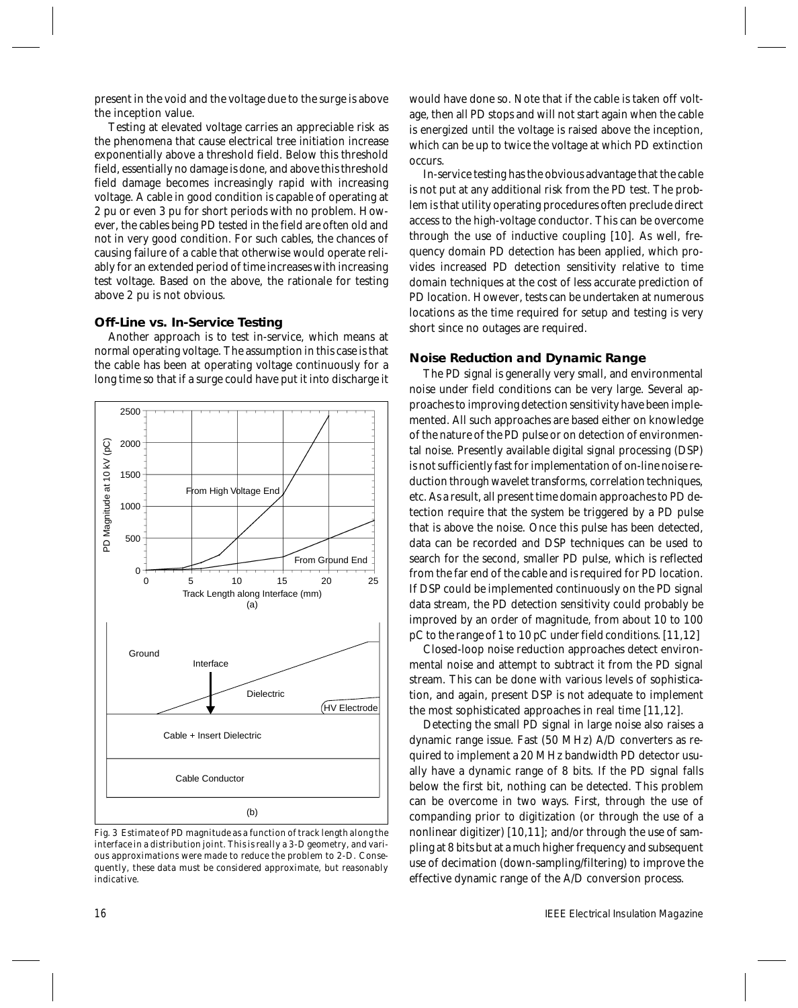present in the void and the voltage due to the surge is above the inception value.

Testing at elevated voltage carries an appreciable risk as the phenomena that cause electrical tree initiation increase exponentially above a threshold field. Below this threshold field, essentially no damage is done, and above this threshold field damage becomes increasingly rapid with increasing voltage. A cable in good condition is capable of operating at 2 pu or even 3 pu for short periods with no problem. However, the cables being PD tested in the field are often old and not in very good condition. For such cables, the chances of causing failure of a cable that otherwise would operate reliably for an extended period of time increases with increasing test voltage. Based on the above, the rationale for testing above 2 pu is not obvious.

# **Off-Line vs. In-Service Testing**

Another approach is to test in-service, which means at normal operating voltage. The assumption in this case is that the cable has been at operating voltage continuously for a long time so that if a surge could have put it into discharge it



*Fig. 3 Estimate of PD magnitude as a function of track length along the interface in a distribution joint. This is really a 3-D geometry, and various approximations were made to reduce the problem to 2-D. Consequently, these data must be considered approximate, but reasonably indicative.*

would have done so. Note that if the cable is taken off voltage, then all PD stops and will not start again when the cable is energized until the voltage is raised above the inception, which can be up to twice the voltage at which PD extinction occurs.

In-service testing has the obvious advantage that the cable is not put at any additional risk from the PD test. The problem is that utility operating procedures often preclude direct access to the high-voltage conductor. This can be overcome through the use of inductive coupling [10]. As well, frequency domain PD detection has been applied, which provides increased PD detection sensitivity relative to time domain techniques at the cost of less accurate prediction of PD location. However, tests can be undertaken at numerous locations as the time required for setup and testing is very short since no outages are required.

# **Noise Reduction and Dynamic Range**

The PD signal is generally very small, and environmental noise under field conditions can be very large. Several approaches to improving detection sensitivity have been implemented. All such approaches are based either on knowledge of the nature of the PD pulse or on detection of environmental noise. Presently available digital signal processing (DSP) is not sufficiently fast for implementation of on-line noise reduction through wavelet transforms, correlation techniques, etc. As a result, all present time domain approaches to PD detection require that the system be triggered by a PD pulse that is above the noise. Once this pulse has been detected, data can be recorded and DSP techniques can be used to search for the second, smaller PD pulse, which is reflected from the far end of the cable and is required for PD location. If DSP could be implemented continuously on the PD signal data stream, the PD detection sensitivity could probably be improved by an order of magnitude, from about 10 to 100 pC to the range of 1 to 10 pC under field conditions. [11,12]

Closed-loop noise reduction approaches detect environmental noise and attempt to subtract it from the PD signal stream. This can be done with various levels of sophistication, and again, present DSP is not adequate to implement the most sophisticated approaches in real time [11,12].

Detecting the small PD signal in large noise also raises a dynamic range issue. Fast (50 MHz) A/D converters as required to implement a 20 MHz bandwidth PD detector usually have a dynamic range of 8 bits. If the PD signal falls below the first bit, nothing can be detected. This problem can be overcome in two ways. First, through the use of companding prior to digitization (or through the use of a nonlinear digitizer) [10,11]; and/or through the use of sampling at 8 bits but at a much higher frequency and subsequent use of decimation (down-sampling/filtering) to improve the effective dynamic range of the A/D conversion process.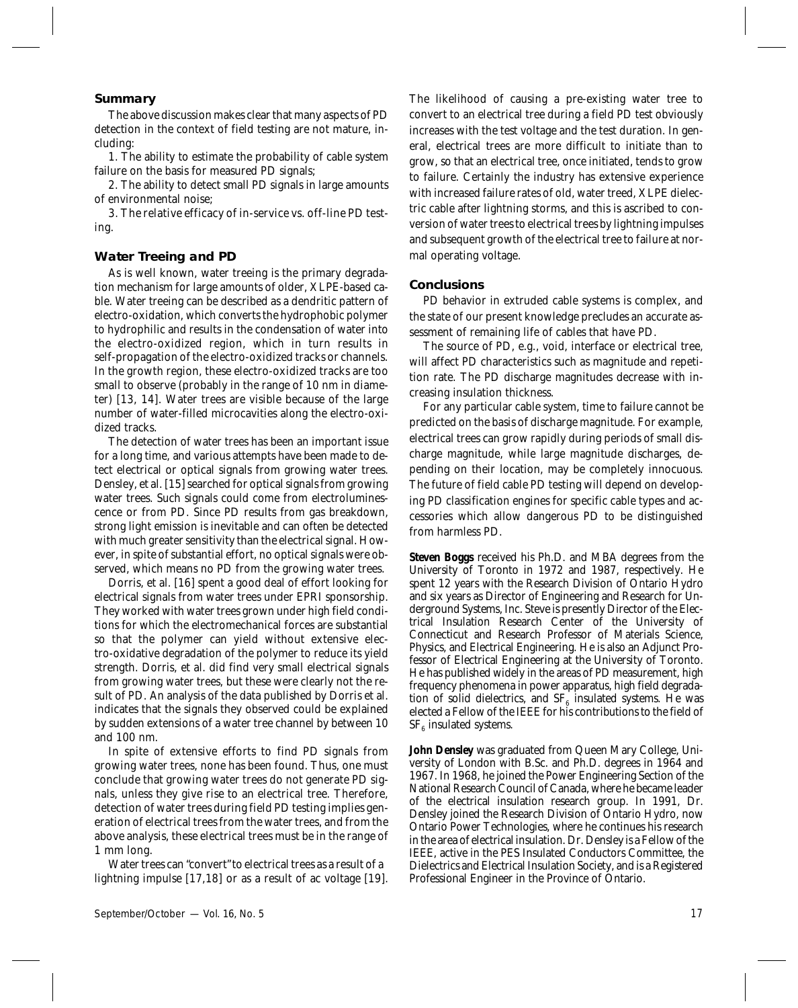# **Summary**

The above discussion makes clear that many aspects of PD detection in the context of field testing are not mature, including:

1. The ability to estimate the probability of cable system failure on the basis for measured PD signals;

2. The ability to detect small PD signals in large amounts of environmental noise;

3. The relative efficacy of in-service vs. off-line PD testing.

# **Water Treeing and PD**

As is well known, water treeing is the primary degradation mechanism for large amounts of older, XLPE-based cable. Water treeing can be described as a dendritic pattern of electro-oxidation, which converts the hydrophobic polymer to hydrophilic and results in the condensation of water into the electro-oxidized region, which in turn results in self-propagation of the electro-oxidized tracks or channels. In the growth region, these electro-oxidized tracks are too small to observe (probably in the range of 10 nm in diameter) [13, 14]. Water trees are visible because of the large number of water-filled microcavities along the electro-oxidized tracks.

The detection of water trees has been an important issue for a long time, and various attempts have been made to detect electrical or optical signals from growing water trees. Densley, et al. [15] searched for optical signals from growing water trees. Such signals could come from electroluminescence or from PD. Since PD results from gas breakdown, strong light emission is inevitable and can often be detected with much greater sensitivity than the electrical signal. However, in spite of substantial effort, no optical signals were observed, which means no PD from the growing water trees.

Dorris, et al. [16] spent a good deal of effort looking for electrical signals from water trees under EPRI sponsorship. They worked with water trees grown under high field conditions for which the electromechanical forces are substantial so that the polymer can yield without extensive electro-oxidative degradation of the polymer to reduce its yield strength. Dorris, et al. did find very small electrical signals from growing water trees, but these were clearly not the result of PD. An analysis of the data published by Dorris et al. indicates that the signals they observed could be explained by sudden extensions of a water tree channel by between 10 and 100 nm.

In spite of extensive efforts to find PD signals from growing water trees, none has been found. Thus, one must conclude that growing water trees do not generate PD signals, unless they give rise to an electrical tree. Therefore, detection of water trees during field PD testing implies generation of electrical trees from the water trees, and from the above analysis, these electrical trees must be in the range of 1 mm long.

Water trees can "convert" to electrical trees as a result of a lightning impulse [17,18] or as a result of ac voltage [19]. The likelihood of causing a pre-existing water tree to convert to an electrical tree during a field PD test obviously increases with the test voltage and the test duration. In general, electrical trees are more difficult to initiate than to grow, so that an electrical tree, once initiated, tends to grow to failure. Certainly the industry has extensive experience with increased failure rates of old, water treed, XLPE dielectric cable after lightning storms, and this is ascribed to conversion of water trees to electrical trees by lightning impulses and subsequent growth of the electrical tree to failure at normal operating voltage.

# **Conclusions**

PD behavior in extruded cable systems is complex, and the state of our present knowledge precludes an accurate assessment of remaining life of cables that have PD.

The source of PD, e.g., void, interface or electrical tree, will affect PD characteristics such as magnitude and repetition rate. The PD discharge magnitudes decrease with increasing insulation thickness.

For any particular cable system, time to failure cannot be predicted on the basis of discharge magnitude. For example, electrical trees can grow rapidly during periods of small discharge magnitude, while large magnitude discharges, depending on their location, may be completely innocuous. The future of field cable PD testing will depend on developing PD classification engines for specific cable types and accessories which allow dangerous PD to be distinguished from harmless PD.

**Steven Boggs** received his Ph.D. and MBA degrees from the University of Toronto in 1972 and 1987, respectively. He spent 12 years with the Research Division of Ontario Hydro and six years as Director of Engineering and Research for Underground Systems, Inc. Steve is presently Director of the Electrical Insulation Research Center of the University of Connecticut and Research Professor of Materials Science, Physics, and Electrical Engineering. He is also an Adjunct Professor of Electrical Engineering at the University of Toronto. He has published widely in the areas of PD measurement, high frequency phenomena in power apparatus, high field degradation of solid dielectrics, and  $SF_6$  insulated systems. He was elected a Fellow of the IEEE for his contributions to the field of  $SF<sub>6</sub>$  insulated systems.

**John Densley** was graduated from Queen Mary College, University of London with B.Sc. and Ph.D. degrees in 1964 and 1967. In 1968, he joined the Power Engineering Section of the National Research Council of Canada, where he became leader of the electrical insulation research group. In 1991, Dr. Densley joined the Research Division of Ontario Hydro, now Ontario Power Technologies, where he continues his research in the area of electrical insulation. Dr. Densley is a Fellow of the IEEE, active in the PES Insulated Conductors Committee, the Dielectrics and Electrical Insulation Society, and is a Registered Professional Engineer in the Province of Ontario.